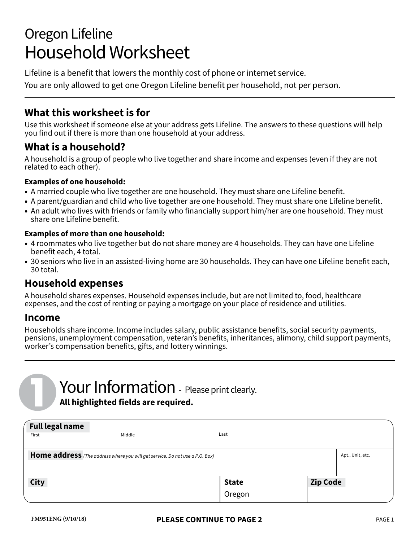# Oregon Lifeline Household Worksheet

Lifeline is a benefit that lowers the monthly cost of phone or internet service.

You are only allowed to get one Oregon Lifeline benefit per household, not per person.

#### **What this worksheet is for**

Use this worksheet if someone else at your address gets Lifeline. The answers to these questions will help you find out if there is more than one household at your address.

### **What is a household?**

A household is a group of people who live together and share income and expenses (even if they are not related to each other).

#### **Examples of one household:**

- A married couple who live together are one household. They must share one Lifeline benefit.
- A parent/guardian and child who live together are one household. They must share one Lifeline benefit.
- An adult who lives with friends or family who financially support him/her are one household. They must share one Lifeline benefit.

#### **Examples of more than one household:**

- 4 roommates who live together but do not share money are 4 households. They can have one Lifeline benefit each, 4 total.
- 30 seniors who live in an assisted-living home are 30 households. They can have one Lifeline benefit each, 30 total.

#### **Household expenses**

A household shares expenses. Household expenses include, but are not limited to, food, healthcare expenses, and the cost of renting or paying a mortgage on your place of residence and utilities.

#### **Income**

Households share income. Income includes salary, public assistance benefits, social security payments, pensions, unemployment compensation, veteran's benefits, inheritances, alimony, child support payments, worker's compensation benefits, gifts, and lottery winnings.

## Your Information - Please print clearly. **All highlighted fields are required.**

| <b>Full legal name</b>                                                                           |        |              |  |                 |  |  |  |  |
|--------------------------------------------------------------------------------------------------|--------|--------------|--|-----------------|--|--|--|--|
| First                                                                                            | Middle | Last         |  |                 |  |  |  |  |
| Home address (The address where you will get service. Do not use a P.O. Box)<br>Apt., Unit, etc. |        |              |  |                 |  |  |  |  |
| <b>City</b>                                                                                      |        | <b>State</b> |  | <b>Zip Code</b> |  |  |  |  |
|                                                                                                  |        | Oregon       |  |                 |  |  |  |  |